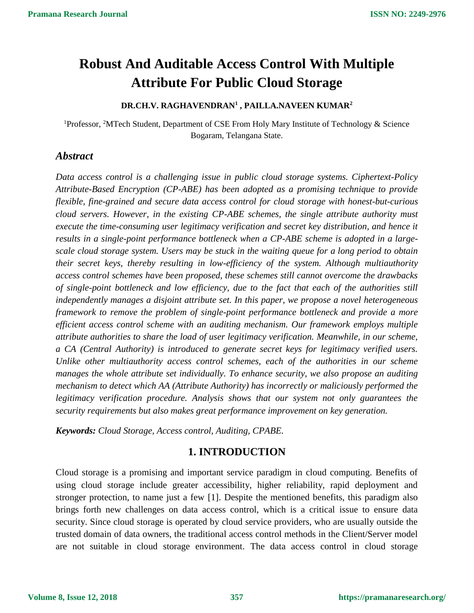# **Robust And Auditable Access Control With Multiple Attribute For Public Cloud Storage**

### **DR.CH.V. RAGHAVENDRAN<sup>1</sup> , PAILLA.NAVEEN KUMAR<sup>2</sup>**

<sup>1</sup>Professor, <sup>2</sup>MTech Student, Department of CSE From Holy Mary Institute of Technology & Science Bogaram, Telangana State.

## *Abstract*

*Data access control is a challenging issue in public cloud storage systems. Ciphertext-Policy Attribute-Based Encryption (CP-ABE) has been adopted as a promising technique to provide flexible, fine-grained and secure data access control for cloud storage with honest-but-curious cloud servers. However, in the existing CP-ABE schemes, the single attribute authority must execute the time-consuming user legitimacy verification and secret key distribution, and hence it results in a single-point performance bottleneck when a CP-ABE scheme is adopted in a largescale cloud storage system. Users may be stuck in the waiting queue for a long period to obtain their secret keys, thereby resulting in low-efficiency of the system. Although multiauthority access control schemes have been proposed, these schemes still cannot overcome the drawbacks of single-point bottleneck and low efficiency, due to the fact that each of the authorities still independently manages a disjoint attribute set. In this paper, we propose a novel heterogeneous framework to remove the problem of single-point performance bottleneck and provide a more efficient access control scheme with an auditing mechanism. Our framework employs multiple attribute authorities to share the load of user legitimacy verification. Meanwhile, in our scheme, a CA (Central Authority) is introduced to generate secret keys for legitimacy verified users. Unlike other multiauthority access control schemes, each of the authorities in our scheme manages the whole attribute set individually. To enhance security, we also propose an auditing mechanism to detect which AA (Attribute Authority) has incorrectly or maliciously performed the legitimacy verification procedure. Analysis shows that our system not only guarantees the security requirements but also makes great performance improvement on key generation.*

*Keywords: Cloud Storage, Access control, Auditing, CPABE.*

## **1. INTRODUCTION**

Cloud storage is a promising and important service paradigm in cloud computing. Benefits of using cloud storage include greater accessibility, higher reliability, rapid deployment and stronger protection, to name just a few [1]. Despite the mentioned benefits, this paradigm also brings forth new challenges on data access control, which is a critical issue to ensure data security. Since cloud storage is operated by cloud service providers, who are usually outside the trusted domain of data owners, the traditional access control methods in the Client/Server model are not suitable in cloud storage environment. The data access control in cloud storage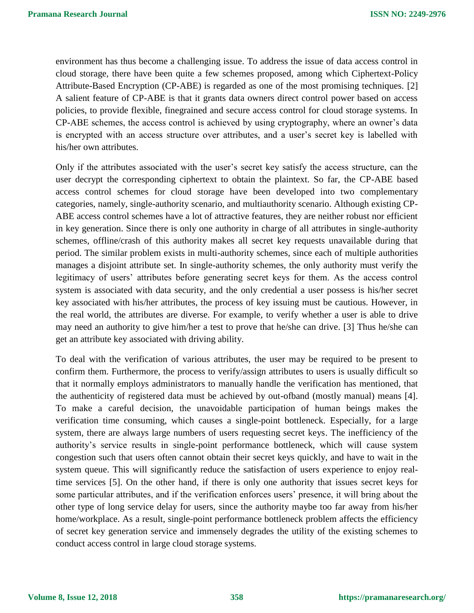environment has thus become a challenging issue. To address the issue of data access control in cloud storage, there have been quite a few schemes proposed, among which Ciphertext-Policy Attribute-Based Encryption (CP-ABE) is regarded as one of the most promising techniques. [2] A salient feature of CP-ABE is that it grants data owners direct control power based on access policies, to provide flexible, finegrained and secure access control for cloud storage systems. In CP-ABE schemes, the access control is achieved by using cryptography, where an owner's data is encrypted with an access structure over attributes, and a user's secret key is labelled with his/her own attributes.

Only if the attributes associated with the user's secret key satisfy the access structure, can the user decrypt the corresponding ciphertext to obtain the plaintext. So far, the CP-ABE based access control schemes for cloud storage have been developed into two complementary categories, namely, single-authority scenario, and multiauthority scenario. Although existing CP-ABE access control schemes have a lot of attractive features, they are neither robust nor efficient in key generation. Since there is only one authority in charge of all attributes in single-authority schemes, offline/crash of this authority makes all secret key requests unavailable during that period. The similar problem exists in multi-authority schemes, since each of multiple authorities manages a disjoint attribute set. In single-authority schemes, the only authority must verify the legitimacy of users' attributes before generating secret keys for them. As the access control system is associated with data security, and the only credential a user possess is his/her secret key associated with his/her attributes, the process of key issuing must be cautious. However, in the real world, the attributes are diverse. For example, to verify whether a user is able to drive may need an authority to give him/her a test to prove that he/she can drive. [3] Thus he/she can get an attribute key associated with driving ability.

To deal with the verification of various attributes, the user may be required to be present to confirm them. Furthermore, the process to verify/assign attributes to users is usually difficult so that it normally employs administrators to manually handle the verification has mentioned, that the authenticity of registered data must be achieved by out-ofband (mostly manual) means [4]. To make a careful decision, the unavoidable participation of human beings makes the verification time consuming, which causes a single-point bottleneck. Especially, for a large system, there are always large numbers of users requesting secret keys. The inefficiency of the authority's service results in single-point performance bottleneck, which will cause system congestion such that users often cannot obtain their secret keys quickly, and have to wait in the system queue. This will significantly reduce the satisfaction of users experience to enjoy realtime services [5]. On the other hand, if there is only one authority that issues secret keys for some particular attributes, and if the verification enforces users' presence, it will bring about the other type of long service delay for users, since the authority maybe too far away from his/her home/workplace. As a result, single-point performance bottleneck problem affects the efficiency of secret key generation service and immensely degrades the utility of the existing schemes to conduct access control in large cloud storage systems.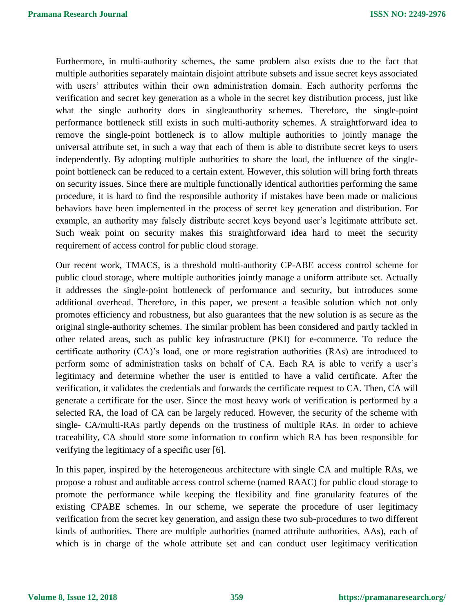Furthermore, in multi-authority schemes, the same problem also exists due to the fact that multiple authorities separately maintain disjoint attribute subsets and issue secret keys associated with users' attributes within their own administration domain. Each authority performs the verification and secret key generation as a whole in the secret key distribution process, just like what the single authority does in singleauthority schemes. Therefore, the single-point performance bottleneck still exists in such multi-authority schemes. A straightforward idea to remove the single-point bottleneck is to allow multiple authorities to jointly manage the universal attribute set, in such a way that each of them is able to distribute secret keys to users independently. By adopting multiple authorities to share the load, the influence of the singlepoint bottleneck can be reduced to a certain extent. However, this solution will bring forth threats on security issues. Since there are multiple functionally identical authorities performing the same procedure, it is hard to find the responsible authority if mistakes have been made or malicious behaviors have been implemented in the process of secret key generation and distribution. For example, an authority may falsely distribute secret keys beyond user's legitimate attribute set. Such weak point on security makes this straightforward idea hard to meet the security requirement of access control for public cloud storage.

Our recent work, TMACS, is a threshold multi-authority CP-ABE access control scheme for public cloud storage, where multiple authorities jointly manage a uniform attribute set. Actually it addresses the single-point bottleneck of performance and security, but introduces some additional overhead. Therefore, in this paper, we present a feasible solution which not only promotes efficiency and robustness, but also guarantees that the new solution is as secure as the original single-authority schemes. The similar problem has been considered and partly tackled in other related areas, such as public key infrastructure (PKI) for e-commerce. To reduce the certificate authority (CA)'s load, one or more registration authorities (RAs) are introduced to perform some of administration tasks on behalf of CA. Each RA is able to verify a user's legitimacy and determine whether the user is entitled to have a valid certificate. After the verification, it validates the credentials and forwards the certificate request to CA. Then, CA will generate a certificate for the user. Since the most heavy work of verification is performed by a selected RA, the load of CA can be largely reduced. However, the security of the scheme with single- CA/multi-RAs partly depends on the trustiness of multiple RAs. In order to achieve traceability, CA should store some information to confirm which RA has been responsible for verifying the legitimacy of a specific user [6].

In this paper, inspired by the heterogeneous architecture with single CA and multiple RAs, we propose a robust and auditable access control scheme (named RAAC) for public cloud storage to promote the performance while keeping the flexibility and fine granularity features of the existing CPABE schemes. In our scheme, we seperate the procedure of user legitimacy verification from the secret key generation, and assign these two sub-procedures to two different kinds of authorities. There are multiple authorities (named attribute authorities, AAs), each of which is in charge of the whole attribute set and can conduct user legitimacy verification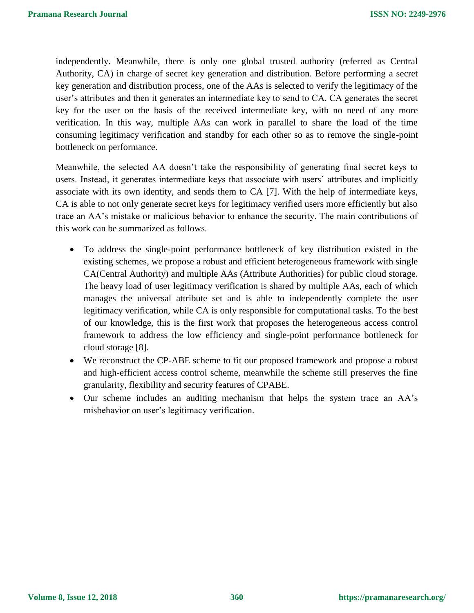independently. Meanwhile, there is only one global trusted authority (referred as Central Authority, CA) in charge of secret key generation and distribution. Before performing a secret key generation and distribution process, one of the AAs is selected to verify the legitimacy of the user's attributes and then it generates an intermediate key to send to CA. CA generates the secret key for the user on the basis of the received intermediate key, with no need of any more verification. In this way, multiple AAs can work in parallel to share the load of the time consuming legitimacy verification and standby for each other so as to remove the single-point bottleneck on performance.

Meanwhile, the selected AA doesn't take the responsibility of generating final secret keys to users. Instead, it generates intermediate keys that associate with users' attributes and implicitly associate with its own identity, and sends them to CA [7]. With the help of intermediate keys, CA is able to not only generate secret keys for legitimacy verified users more efficiently but also trace an AA's mistake or malicious behavior to enhance the security. The main contributions of this work can be summarized as follows.

- To address the single-point performance bottleneck of key distribution existed in the existing schemes, we propose a robust and efficient heterogeneous framework with single CA(Central Authority) and multiple AAs (Attribute Authorities) for public cloud storage. The heavy load of user legitimacy verification is shared by multiple AAs, each of which manages the universal attribute set and is able to independently complete the user legitimacy verification, while CA is only responsible for computational tasks. To the best of our knowledge, this is the first work that proposes the heterogeneous access control framework to address the low efficiency and single-point performance bottleneck for cloud storage [8].
- We reconstruct the CP-ABE scheme to fit our proposed framework and propose a robust and high-efficient access control scheme, meanwhile the scheme still preserves the fine granularity, flexibility and security features of CPABE.
- Our scheme includes an auditing mechanism that helps the system trace an AA's misbehavior on user's legitimacy verification.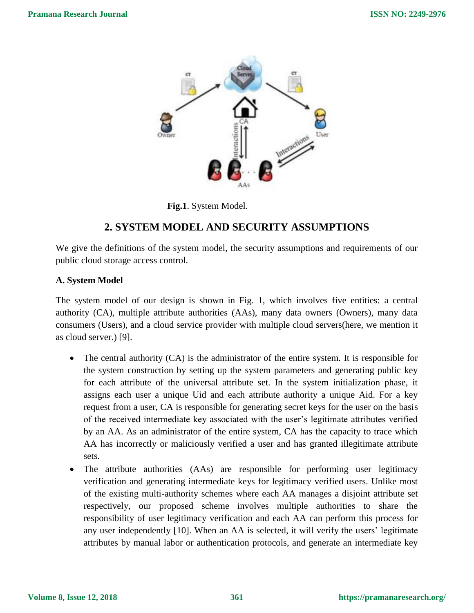

**Fig.1**. System Model.

## **2. SYSTEM MODEL AND SECURITY ASSUMPTIONS**

We give the definitions of the system model, the security assumptions and requirements of our public cloud storage access control.

#### **A. System Model**

The system model of our design is shown in Fig. 1, which involves five entities: a central authority (CA), multiple attribute authorities (AAs), many data owners (Owners), many data consumers (Users), and a cloud service provider with multiple cloud servers(here, we mention it as cloud server.) [9].

- The central authority (CA) is the administrator of the entire system. It is responsible for the system construction by setting up the system parameters and generating public key for each attribute of the universal attribute set. In the system initialization phase, it assigns each user a unique Uid and each attribute authority a unique Aid. For a key request from a user, CA is responsible for generating secret keys for the user on the basis of the received intermediate key associated with the user's legitimate attributes verified by an AA. As an administrator of the entire system, CA has the capacity to trace which AA has incorrectly or maliciously verified a user and has granted illegitimate attribute sets.
- The attribute authorities (AAs) are responsible for performing user legitimacy verification and generating intermediate keys for legitimacy verified users. Unlike most of the existing multi-authority schemes where each AA manages a disjoint attribute set respectively, our proposed scheme involves multiple authorities to share the responsibility of user legitimacy verification and each AA can perform this process for any user independently [10]. When an AA is selected, it will verify the users' legitimate attributes by manual labor or authentication protocols, and generate an intermediate key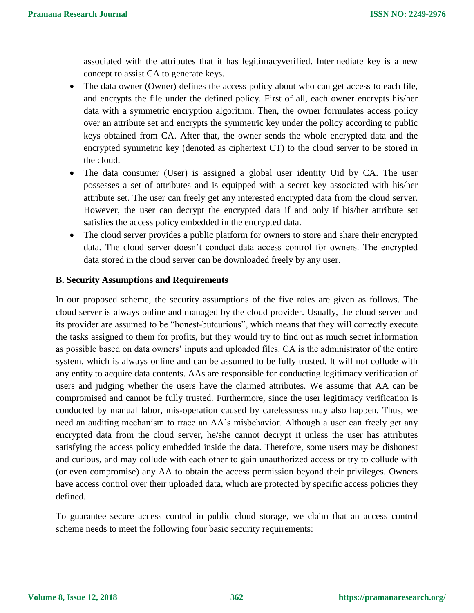associated with the attributes that it has legitimacyverified. Intermediate key is a new concept to assist CA to generate keys.

- The data owner (Owner) defines the access policy about who can get access to each file, and encrypts the file under the defined policy. First of all, each owner encrypts his/her data with a symmetric encryption algorithm. Then, the owner formulates access policy over an attribute set and encrypts the symmetric key under the policy according to public keys obtained from CA. After that, the owner sends the whole encrypted data and the encrypted symmetric key (denoted as ciphertext CT) to the cloud server to be stored in the cloud.
- The data consumer (User) is assigned a global user identity Uid by CA. The user possesses a set of attributes and is equipped with a secret key associated with his/her attribute set. The user can freely get any interested encrypted data from the cloud server. However, the user can decrypt the encrypted data if and only if his/her attribute set satisfies the access policy embedded in the encrypted data.
- The cloud server provides a public platform for owners to store and share their encrypted data. The cloud server doesn't conduct data access control for owners. The encrypted data stored in the cloud server can be downloaded freely by any user.

#### **B. Security Assumptions and Requirements**

In our proposed scheme, the security assumptions of the five roles are given as follows. The cloud server is always online and managed by the cloud provider. Usually, the cloud server and its provider are assumed to be "honest-butcurious", which means that they will correctly execute the tasks assigned to them for profits, but they would try to find out as much secret information as possible based on data owners' inputs and uploaded files. CA is the administrator of the entire system, which is always online and can be assumed to be fully trusted. It will not collude with any entity to acquire data contents. AAs are responsible for conducting legitimacy verification of users and judging whether the users have the claimed attributes. We assume that AA can be compromised and cannot be fully trusted. Furthermore, since the user legitimacy verification is conducted by manual labor, mis-operation caused by carelessness may also happen. Thus, we need an auditing mechanism to trace an AA's misbehavior. Although a user can freely get any encrypted data from the cloud server, he/she cannot decrypt it unless the user has attributes satisfying the access policy embedded inside the data. Therefore, some users may be dishonest and curious, and may collude with each other to gain unauthorized access or try to collude with (or even compromise) any AA to obtain the access permission beyond their privileges. Owners have access control over their uploaded data, which are protected by specific access policies they defined.

To guarantee secure access control in public cloud storage, we claim that an access control scheme needs to meet the following four basic security requirements: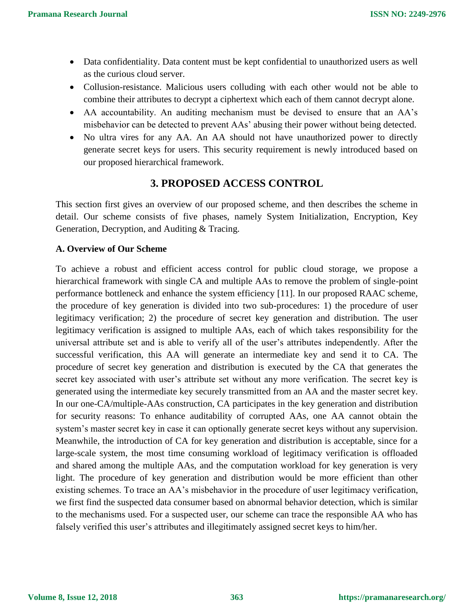- Data confidentiality. Data content must be kept confidential to unauthorized users as well as the curious cloud server.
- Collusion-resistance. Malicious users colluding with each other would not be able to combine their attributes to decrypt a ciphertext which each of them cannot decrypt alone.
- AA accountability. An auditing mechanism must be devised to ensure that an AA's misbehavior can be detected to prevent AAs' abusing their power without being detected.
- No ultra vires for any AA. An AA should not have unauthorized power to directly generate secret keys for users. This security requirement is newly introduced based on our proposed hierarchical framework.

## **3. PROPOSED ACCESS CONTROL**

This section first gives an overview of our proposed scheme, and then describes the scheme in detail. Our scheme consists of five phases, namely System Initialization, Encryption, Key Generation, Decryption, and Auditing & Tracing.

#### **A. Overview of Our Scheme**

To achieve a robust and efficient access control for public cloud storage, we propose a hierarchical framework with single CA and multiple AAs to remove the problem of single-point performance bottleneck and enhance the system efficiency [11]. In our proposed RAAC scheme, the procedure of key generation is divided into two sub-procedures: 1) the procedure of user legitimacy verification; 2) the procedure of secret key generation and distribution. The user legitimacy verification is assigned to multiple AAs, each of which takes responsibility for the universal attribute set and is able to verify all of the user's attributes independently. After the successful verification, this AA will generate an intermediate key and send it to CA. The procedure of secret key generation and distribution is executed by the CA that generates the secret key associated with user's attribute set without any more verification. The secret key is generated using the intermediate key securely transmitted from an AA and the master secret key. In our one-CA/multiple-AAs construction, CA participates in the key generation and distribution for security reasons: To enhance auditability of corrupted AAs, one AA cannot obtain the system's master secret key in case it can optionally generate secret keys without any supervision. Meanwhile, the introduction of CA for key generation and distribution is acceptable, since for a large-scale system, the most time consuming workload of legitimacy verification is offloaded and shared among the multiple AAs, and the computation workload for key generation is very light. The procedure of key generation and distribution would be more efficient than other existing schemes. To trace an AA's misbehavior in the procedure of user legitimacy verification, we first find the suspected data consumer based on abnormal behavior detection, which is similar to the mechanisms used. For a suspected user, our scheme can trace the responsible AA who has falsely verified this user's attributes and illegitimately assigned secret keys to him/her.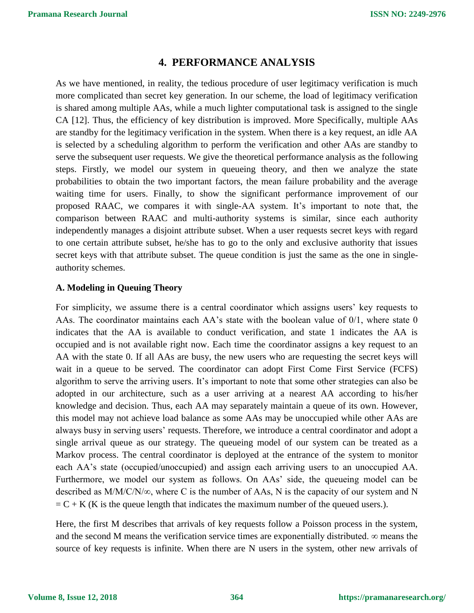## **4. PERFORMANCE ANALYSIS**

As we have mentioned, in reality, the tedious procedure of user legitimacy verification is much more complicated than secret key generation. In our scheme, the load of legitimacy verification is shared among multiple AAs, while a much lighter computational task is assigned to the single CA [12]. Thus, the efficiency of key distribution is improved. More Specifically, multiple AAs are standby for the legitimacy verification in the system. When there is a key request, an idle AA is selected by a scheduling algorithm to perform the verification and other AAs are standby to serve the subsequent user requests. We give the theoretical performance analysis as the following steps. Firstly, we model our system in queueing theory, and then we analyze the state probabilities to obtain the two important factors, the mean failure probability and the average waiting time for users. Finally, to show the significant performance improvement of our proposed RAAC, we compares it with single-AA system. It's important to note that, the comparison between RAAC and multi-authority systems is similar, since each authority independently manages a disjoint attribute subset. When a user requests secret keys with regard to one certain attribute subset, he/she has to go to the only and exclusive authority that issues secret keys with that attribute subset. The queue condition is just the same as the one in singleauthority schemes.

#### **A. Modeling in Queuing Theory**

For simplicity, we assume there is a central coordinator which assigns users' key requests to AAs. The coordinator maintains each AA's state with the boolean value of  $0/1$ , where state 0 indicates that the AA is available to conduct verification, and state 1 indicates the AA is occupied and is not available right now. Each time the coordinator assigns a key request to an AA with the state 0. If all AAs are busy, the new users who are requesting the secret keys will wait in a queue to be served. The coordinator can adopt First Come First Service (FCFS) algorithm to serve the arriving users. It's important to note that some other strategies can also be adopted in our architecture, such as a user arriving at a nearest AA according to his/her knowledge and decision. Thus, each AA may separately maintain a queue of its own. However, this model may not achieve load balance as some AAs may be unoccupied while other AAs are always busy in serving users' requests. Therefore, we introduce a central coordinator and adopt a single arrival queue as our strategy. The queueing model of our system can be treated as a Markov process. The central coordinator is deployed at the entrance of the system to monitor each AA's state (occupied/unoccupied) and assign each arriving users to an unoccupied AA. Furthermore, we model our system as follows. On AAs' side, the queueing model can be described as M/M/C/N/∞, where C is the number of AAs, N is the capacity of our system and N  $= C + K$  (K is the queue length that indicates the maximum number of the queued users.).

Here, the first M describes that arrivals of key requests follow a Poisson process in the system, and the second M means the verification service times are exponentially distributed.  $\infty$  means the source of key requests is infinite. When there are N users in the system, other new arrivals of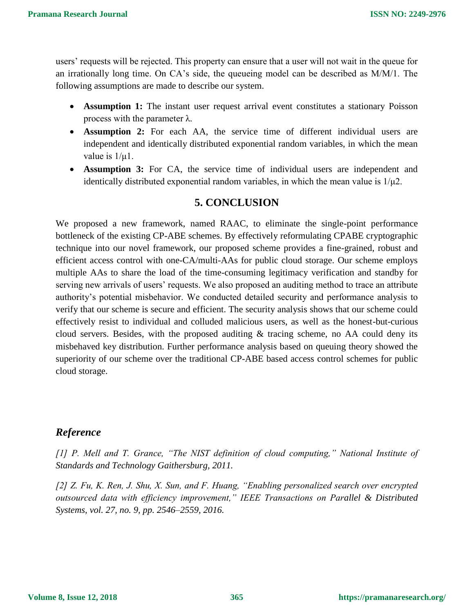users' requests will be rejected. This property can ensure that a user will not wait in the queue for an irrationally long time. On CA's side, the queueing model can be described as M/M/1. The following assumptions are made to describe our system.

- **Assumption 1:** The instant user request arrival event constitutes a stationary Poisson process with the parameter λ.
- **Assumption 2:** For each AA, the service time of different individual users are independent and identically distributed exponential random variables, in which the mean value is 1/μ1.
- **Assumption 3:** For CA, the service time of individual users are independent and identically distributed exponential random variables, in which the mean value is  $1/\mu$ 2.

# **5. CONCLUSION**

We proposed a new framework, named RAAC, to eliminate the single-point performance bottleneck of the existing CP-ABE schemes. By effectively reformulating CPABE cryptographic technique into our novel framework, our proposed scheme provides a fine-grained, robust and efficient access control with one-CA/multi-AAs for public cloud storage. Our scheme employs multiple AAs to share the load of the time-consuming legitimacy verification and standby for serving new arrivals of users' requests. We also proposed an auditing method to trace an attribute authority's potential misbehavior. We conducted detailed security and performance analysis to verify that our scheme is secure and efficient. The security analysis shows that our scheme could effectively resist to individual and colluded malicious users, as well as the honest-but-curious cloud servers. Besides, with the proposed auditing  $\&$  tracing scheme, no AA could deny its misbehaved key distribution. Further performance analysis based on queuing theory showed the superiority of our scheme over the traditional CP-ABE based access control schemes for public cloud storage.

# *Reference*

*[1] P. Mell and T. Grance, "The NIST definition of cloud computing," National Institute of Standards and Technology Gaithersburg, 2011.*

*[2] Z. Fu, K. Ren, J. Shu, X. Sun, and F. Huang, "Enabling personalized search over encrypted outsourced data with efficiency improvement," IEEE Transactions on Parallel & Distributed Systems, vol. 27, no. 9, pp. 2546–2559, 2016.*